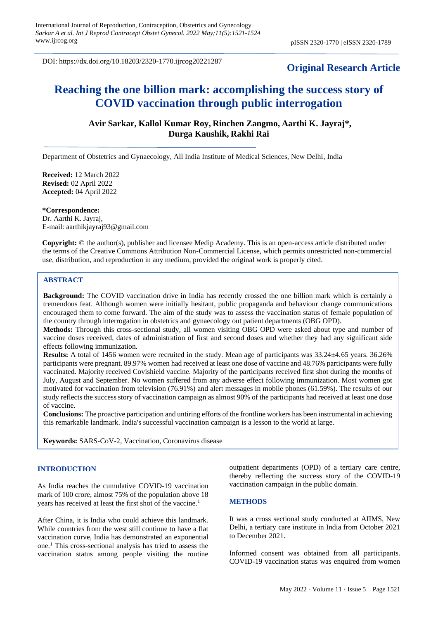DOI: https://dx.doi.org/10.18203/2320-1770.ijrcog20221287

# **Original Research Article**

# **Reaching the one billion mark: accomplishing the success story of COVID vaccination through public interrogation**

# **Avir Sarkar, Kallol Kumar Roy, Rinchen Zangmo, Aarthi K. Jayraj\*, Durga Kaushik, Rakhi Rai**

Department of Obstetrics and Gynaecology, All India Institute of Medical Sciences, New Delhi, India

**Received:** 12 March 2022 **Revised:** 02 April 2022 **Accepted:** 04 April 2022

**\*Correspondence:** Dr. Aarthi K. Jayraj, E-mail: aarthikjayraj93@gmail.com

**Copyright:** © the author(s), publisher and licensee Medip Academy. This is an open-access article distributed under the terms of the Creative Commons Attribution Non-Commercial License, which permits unrestricted non-commercial use, distribution, and reproduction in any medium, provided the original work is properly cited.

#### **ABSTRACT**

**Background:** The COVID vaccination drive in India has recently crossed the one billion mark which is certainly a tremendous feat. Although women were initially hesitant, public propaganda and behaviour change communications encouraged them to come forward. The aim of the study was to assess the vaccination status of female population of the country through interrogation in obstetrics and gynaecology out patient departments (OBG OPD).

**Methods:** Through this cross-sectional study, all women visiting OBG OPD were asked about type and number of vaccine doses received, dates of administration of first and second doses and whether they had any significant side effects following immunization.

**Results:** A total of 1456 women were recruited in the study. Mean age of participants was 33.24±4.65 years. 36.26% participants were pregnant. 89.97% women had received at least one dose of vaccine and 48.76% participants were fully vaccinated. Majority received Covishield vaccine. Majority of the participants received first shot during the months of July, August and September. No women suffered from any adverse effect following immunization. Most women got motivated for vaccination from television (76.91%) and alert messages in mobile phones (61.59%). The results of our study reflects the success story of vaccination campaign as almost 90% of the participants had received at least one dose of vaccine.

**Conclusions:** The proactive participation and untiring efforts of the frontline workers has been instrumental in achieving this remarkable landmark. India's successful vaccination campaign is a lesson to the world at large.

**Keywords:** SARS-CoV-2, Vaccination, Coronavirus disease

## **INTRODUCTION**

As India reaches the cumulative COVID-19 vaccination mark of 100 crore, almost 75% of the population above 18 years has received at least the first shot of the vaccine.<sup>1</sup>

After China, it is India who could achieve this landmark. While countries from the west still continue to have a flat vaccination curve, India has demonstrated an exponential one.<sup>1</sup> This cross-sectional analysis has tried to assess the vaccination status among people visiting the routine outpatient departments (OPD) of a tertiary care centre, thereby reflecting the success story of the COVID-19 vaccination campaign in the public domain.

## **METHODS**

It was a cross sectional study conducted at AIIMS, New Delhi, a tertiary care institute in India from October 2021 to December 2021.

Informed consent was obtained from all participants. COVID-19 vaccination status was enquired from women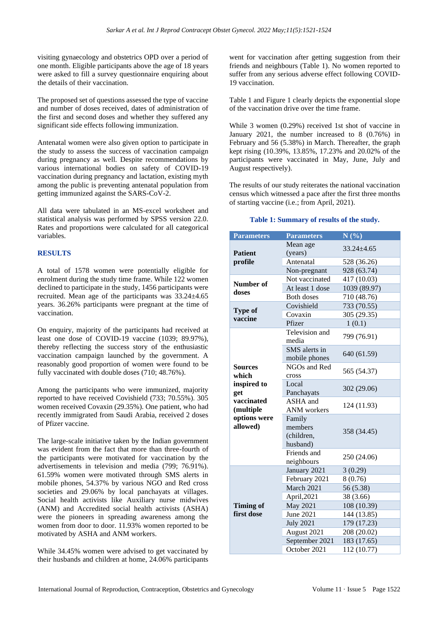visiting gynaecology and obstetrics OPD over a period of one month. Eligible participants above the age of 18 years were asked to fill a survey questionnaire enquiring about the details of their vaccination.

The proposed set of questions assessed the type of vaccine and number of doses received, dates of administration of the first and second doses and whether they suffered any significant side effects following immunization.

Antenatal women were also given option to participate in the study to assess the success of vaccination campaign during pregnancy as well. Despite recommendations by various international bodies on safety of COVID-19 vaccination during pregnancy and lactation, existing myth among the public is preventing antenatal population from getting immunized against the SARS-CoV-2.

All data were tabulated in an MS-excel worksheet and statistical analysis was performed by SPSS version 22.0. Rates and proportions were calculated for all categorical variables.

# **RESULTS**

A total of 1578 women were potentially eligible for enrolment during the study time frame. While 122 women declined to participate in the study, 1456 participants were recruited. Mean age of the participants was 33.24±4.65 years. 36.26% participants were pregnant at the time of vaccination.

On enquiry, majority of the participants had received at least one dose of COVID-19 vaccine (1039; 89.97%), thereby reflecting the success story of the enthusiastic vaccination campaign launched by the government. A reasonably good proportion of women were found to be fully vaccinated with double doses (710; 48.76%).

Among the participants who were immunized, majority reported to have received Covishield (733; 70.55%). 305 women received Covaxin (29.35%). One patient, who had recently immigrated from Saudi Arabia, received 2 doses of Pfizer vaccine.

The large-scale initiative taken by the Indian government was evident from the fact that more than three-fourth of the participants were motivated for vaccination by the advertisements in television and media (799; 76.91%). 61.59% women were motivated through SMS alerts in mobile phones, 54.37% by various NGO and Red cross societies and 29.06% by local panchayats at villages. Social health activists like Auxiliary nurse midwives (ANM) and Accredited social health activists (ASHA) were the pioneers in spreading awareness among the women from door to door. 11.93% women reported to be motivated by ASHA and ANM workers.

While 34.45% women were advised to get vaccinated by their husbands and children at home, 24.06% participants went for vaccination after getting suggestion from their friends and neighbours (Table 1). No women reported to suffer from any serious adverse effect following COVID-19 vaccination.

Table 1 and Figure 1 clearly depicts the exponential slope of the vaccination drive over the time frame.

While 3 women (0.29%) received 1st shot of vaccine in January 2021, the number increased to 8 (0.76%) in February and 56 (5.38%) in March. Thereafter, the graph kept rising (10.39%, 13.85%, 17.23% and 20.02% of the participants were vaccinated in May, June, July and August respectively).

The results of our study reiterates the national vaccination census which witnessed a pace after the first three months of starting vaccine (i.e.; from April, 2021).

## **Table 1: Summary of results of the study.**

| <b>Parameters</b>                                                        | <b>Parameters</b>                           | N(%)           |
|--------------------------------------------------------------------------|---------------------------------------------|----------------|
| <b>Patient</b><br>profile                                                | Mean age<br>(years)                         | $33.24 + 4.65$ |
|                                                                          | Antenatal                                   | 528 (36.26)    |
|                                                                          | Non-pregnant                                | 928 (63.74)    |
| Number of<br>doses                                                       | Not vaccinated                              | 417 (10.03)    |
|                                                                          | At least 1 dose                             | 1039 (89.97)   |
|                                                                          | <b>Both doses</b>                           | 710 (48.76)    |
| <b>Type of</b><br>vaccine                                                | Covishield                                  | 733 (70.55)    |
|                                                                          | Covaxin                                     | 305 (29.35)    |
|                                                                          | Pfizer                                      | 1(0.1)         |
| <b>Sources</b><br>which<br>inspired to<br>get<br>vaccinated<br>(multiple | Television and<br>media                     | 799 (76.91)    |
|                                                                          | SMS alerts in<br>mobile phones              | 640 (61.59)    |
|                                                                          | NGOs and Red<br>cross                       | 565 (54.37)    |
|                                                                          | Local<br>Panchayats                         | 302 (29.06)    |
|                                                                          | ASHA and<br>ANM workers                     | 124 (11.93)    |
| options were<br>allowed)                                                 | Family<br>members<br>(children,<br>husband) | 358 (34.45)    |
|                                                                          | Friends and<br>neighbours                   | 250 (24.06)    |
| <b>Timing of</b><br>first dose                                           | January 2021                                | 3(0.29)        |
|                                                                          | February 2021                               | 8(0.76)        |
|                                                                          | March 2021                                  | 56 (5.38)      |
|                                                                          | April,2021                                  | 38 (3.66)      |
|                                                                          | <b>May 2021</b>                             | 108 (10.39)    |
|                                                                          | <b>June 2021</b>                            | 144 (13.85)    |
|                                                                          | <b>July 2021</b>                            | 179 (17.23)    |
|                                                                          | August 2021                                 | 208 (20.02)    |
|                                                                          | September 2021                              | 183 (17.65)    |
|                                                                          | October 2021                                | 112 (10.77)    |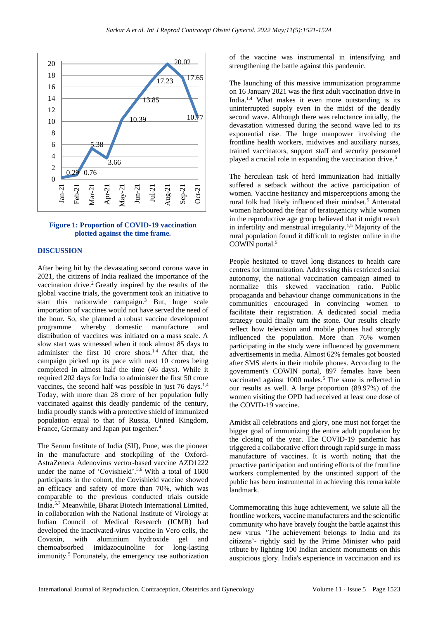

# **Figure 1: Proportion of COVID-19 vaccination plotted against the time frame.**

#### **DISCUSSION**

After being hit by the devastating second corona wave in 2021, the citizens of India realized the importance of the vaccination drive.<sup>2</sup> Greatly inspired by the results of the global vaccine trials, the government took an initiative to start this nationwide campaign.<sup>3</sup> But, huge scale importation of vaccines would not have served the need of the hour. So, she planned a robust vaccine development programme whereby domestic manufacture and distribution of vaccines was initiated on a mass scale. A slow start was witnessed when it took almost 85 days to administer the first  $10$  crore shots.<sup>1,4</sup> After that, the campaign picked up its pace with next 10 crores being completed in almost half the time (46 days). While it required 202 days for India to administer the first 50 crore vaccines, the second half was possible in just 76 days.<sup>1,4</sup> Today, with more than 28 crore of her population fully vaccinated against this deadly pandemic of the century, India proudly stands with a protective shield of immunized population equal to that of Russia, United Kingdom, France, Germany and Japan put together.<sup>4</sup>

The Serum Institute of India (SII), Pune, was the pioneer in the manufacture and stockpiling of the Oxford-AstraZeneca Adenovirus vector-based vaccine AZD1222 under the name of 'Covishield'.5,6 With a total of 1600 participants in the cohort, the Covishield vaccine showed an efficacy and safety of more than 70%, which was comparable to the previous conducted trials outside India.5,7 Meanwhile, Bharat Biotech International Limited, in collaboration with the National Institute of Virology at Indian Council of Medical Research (ICMR) had developed the inactivated-virus vaccine in Vero cells, the Covaxin, with aluminium hydroxide gel and chemoabsorbed imidazoquinoline for long-lasting immunity.<sup>5</sup> Fortunately, the emergency use authorization of the vaccine was instrumental in intensifying and strengthening the battle against this pandemic.

The launching of this massive immunization programme on 16 January 2021 was the first adult vaccination drive in India.1,4 What makes it even more outstanding is its uninterrupted supply even in the midst of the deadly second wave. Although there was reluctance initially, the devastation witnessed during the second wave led to its exponential rise. The huge manpower involving the frontline health workers, midwives and auxiliary nurses, trained vaccinators, support staff and security personnel played a crucial role in expanding the vaccination drive.<sup>5</sup>

The herculean task of herd immunization had initially suffered a setback without the active participation of women. Vaccine hesitancy and misperceptions among the rural folk had likely influenced their mindset.<sup>5</sup> Antenatal women harboured the fear of teratogenicity while women in the reproductive age group believed that it might result in infertility and menstrual irregularity.<sup>1,5</sup> Majority of the rural population found it difficult to register online in the COWIN portal.<sup>5</sup>

People hesitated to travel long distances to health care centres for immunization. Addressing this restricted social autonomy, the national vaccination campaign aimed to normalize this skewed vaccination ratio. Public propaganda and behaviour change communications in the communities encouraged in convincing women to facilitate their registration. A dedicated social media strategy could finally turn the stone. Our results clearly reflect how television and mobile phones had strongly influenced the population. More than 76% women participating in the study were influenced by government advertisements in media. Almost 62% females got boosted after SMS alerts in their mobile phones. According to the government's COWIN portal, 897 females have been vaccinated against 1000 males.<sup>5</sup> The same is reflected in our results as well. A large proportion (89.97%) of the women visiting the OPD had received at least one dose of the COVID-19 vaccine.

Amidst all celebrations and glory, one must not forget the bigger goal of immunizing the entire adult population by the closing of the year. The COVID-19 pandemic has triggered a collaborative effort through rapid surge in mass manufacture of vaccines. It is worth noting that the proactive participation and untiring efforts of the frontline workers complemented by the unstinted support of the public has been instrumental in achieving this remarkable landmark.

Commemorating this huge achievement, we salute all the frontline workers, vaccine manufacturers and the scientific community who have bravely fought the battle against this new virus. 'The achievement belongs to India and its citizens'- rightly said by the Prime Minister who paid tribute by lighting 100 Indian ancient monuments on this auspicious glory. India's experience in vaccination and its